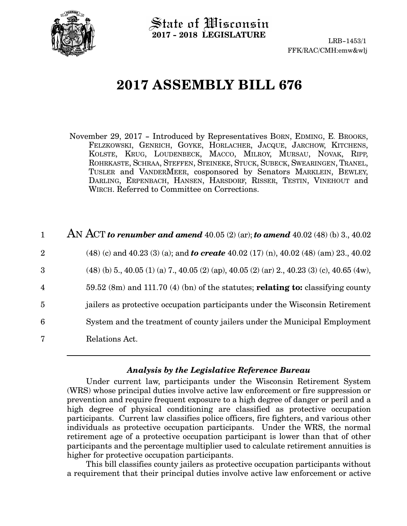

State of Wisconsin **2017 - 2018 LEGISLATURE**

# **2017 ASSEMBLY BILL 676**

November 29, 2017 - Introduced by Representatives BORN, EDMING, E. BROOKS, FELZKOWSKI, GENRICH, GOYKE, HORLACHER, JACQUE, JARCHOW, KITCHENS, KOLSTE, KRUG, LOUDENBECK, MACCO, MILROY, MURSAU, NOVAK, RIPP, ROHRKASTE, SCHRAA, STEFFEN, STEINEKE, STUCK, SUBECK, SWEARINGEN, TRANEL, TUSLER and VANDERMEER, cosponsored by Senators MARKLEIN, BEWLEY, DARLING, ERPENBACH, HANSEN, HARSDORF, RISSER, TESTIN, VINEHOUT and WIRCH. Referred to Committee on Corrections.

| $\mathbf{1}$   | AN ACT to renumber and amend $40.05(2)(ar)$ ; to amend $40.02(48)(b)$ 3., $40.02$                     |
|----------------|-------------------------------------------------------------------------------------------------------|
| $\overline{2}$ | $(48)$ (c) and $40.23$ (3) (a); and <b>to create</b> $40.02$ (17) (n), $40.02$ (48) (am) 23., $40.02$ |
| 3              | $(48)$ (b) 5,, 40.05 (1) (a) 7,, 40.05 (2) (ap), 40.05 (2) (ar) 2,, 40.23 (3) (c), 40.65 (4w),        |
| $\overline{4}$ | 59.52 (8m) and 111.70 (4) (bn) of the statutes; relating to: classifying county                       |
| $\overline{5}$ | jailers as protective occupation participants under the Wisconsin Retirement                          |
| 6              | System and the treatment of county jailers under the Municipal Employment                             |
| 7              | Relations Act.                                                                                        |

### *Analysis by the Legislative Reference Bureau*

Under current law, participants under the Wisconsin Retirement System (WRS) whose principal duties involve active law enforcement or fire suppression or prevention and require frequent exposure to a high degree of danger or peril and a high degree of physical conditioning are classified as protective occupation participants. Current law classifies police officers, fire fighters, and various other individuals as protective occupation participants. Under the WRS, the normal retirement age of a protective occupation participant is lower than that of other participants and the percentage multiplier used to calculate retirement annuities is higher for protective occupation participants.

This bill classifies county jailers as protective occupation participants without a requirement that their principal duties involve active law enforcement or active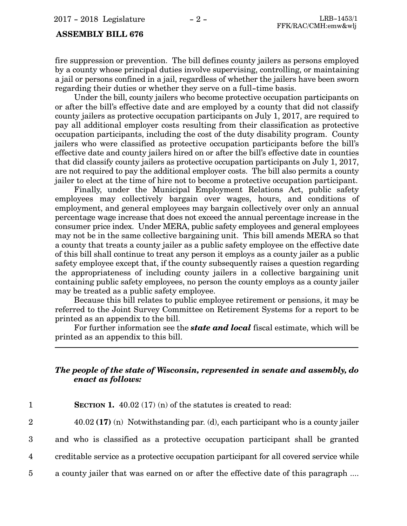### **ASSEMBLY BILL 676**

fire suppression or prevention. The bill defines county jailers as persons employed by a county whose principal duties involve supervising, controlling, or maintaining a jail or persons confined in a jail, regardless of whether the jailers have been sworn regarding their duties or whether they serve on a full-time basis.

Under the bill, county jailers who become protective occupation participants on or after the bill's effective date and are employed by a county that did not classify county jailers as protective occupation participants on July 1, 2017, are required to pay all additional employer costs resulting from their classification as protective occupation participants, including the cost of the duty disability program. County jailers who were classified as protective occupation participants before the bill's effective date and county jailers hired on or after the bill's effective date in counties that did classify county jailers as protective occupation participants on July 1, 2017, are not required to pay the additional employer costs. The bill also permits a county jailer to elect at the time of hire not to become a protective occupation participant.

Finally, under the Municipal Employment Relations Act, public safety employees may collectively bargain over wages, hours, and conditions of employment, and general employees may bargain collectively over only an annual percentage wage increase that does not exceed the annual percentage increase in the consumer price index. Under MERA, public safety employees and general employees may not be in the same collective bargaining unit. This bill amends MERA so that a county that treats a county jailer as a public safety employee on the effective date of this bill shall continue to treat any person it employs as a county jailer as a public safety employee except that, if the county subsequently raises a question regarding the appropriateness of including county jailers in a collective bargaining unit containing public safety employees, no person the county employs as a county jailer may be treated as a public safety employee.

Because this bill relates to public employee retirement or pensions, it may be referred to the Joint Survey Committee on Retirement Systems for a report to be printed as an appendix to the bill.

For further information see the *state and local* fiscal estimate, which will be printed as an appendix to this bill.

### *The people of the state of Wisconsin, represented in senate and assembly, do enact as follows:*

| <b>SECTION 1.</b> 40.02 (17) (n) of the statutes is created to read:                    |
|-----------------------------------------------------------------------------------------|
| $40.02$ (17) (n) Notwithstanding par. (d), each participant who is a county jailer      |
| and who is classified as a protective occupation participant shall be granted           |
| creditable service as a protective occupation participant for all covered service while |
| a county jailer that was earned on or after the effective date of this paragraph        |
|                                                                                         |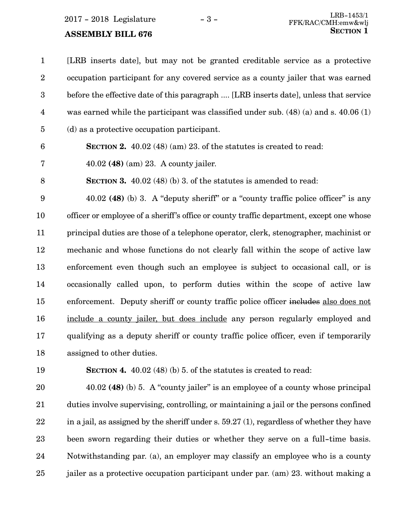### **ASSEMBLY BILL 676**

[LRB inserts date], but may not be granted creditable service as a protective occupation participant for any covered service as a county jailer that was earned before the effective date of this paragraph .... [LRB inserts date], unless that service was earned while the participant was classified under sub. (48) (a) and s. 40.06 (1) (d) as a protective occupation participant. 1 2 3 4 5

- 
- **SECTION 2.** 40.02 (48) (am) 23. of the statutes is created to read: 6
- 40.02 **(48)** (am) 23. A county jailer. 7
- **SECTION 3.** 40.02 (48) (b) 3. of the statutes is amended to read: 8

40.02 **(48)** (b) 3. A "deputy sheriff" or a "county traffic police officer" is any officer or employee of a sheriff's office or county traffic department, except one whose principal duties are those of a telephone operator, clerk, stenographer, machinist or mechanic and whose functions do not clearly fall within the scope of active law enforcement even though such an employee is subject to occasional call, or is occasionally called upon, to perform duties within the scope of active law enforcement. Deputy sheriff or county traffic police officer includes also does not include a county jailer, but does include any person regularly employed and qualifying as a deputy sheriff or county traffic police officer, even if temporarily assigned to other duties. 9 10 11 12 13 14 15 16 17 18

19

**SECTION 4.** 40.02 (48) (b) 5. of the statutes is created to read:

40.02 **(48)** (b) 5. A "county jailer" is an employee of a county whose principal duties involve supervising, controlling, or maintaining a jail or the persons confined in a jail, as assigned by the sheriff under s. 59.27 (1), regardless of whether they have been sworn regarding their duties or whether they serve on a full-time basis. Notwithstanding par. (a), an employer may classify an employee who is a county jailer as a protective occupation participant under par. (am) 23. without making a 20 21 22 23 24 25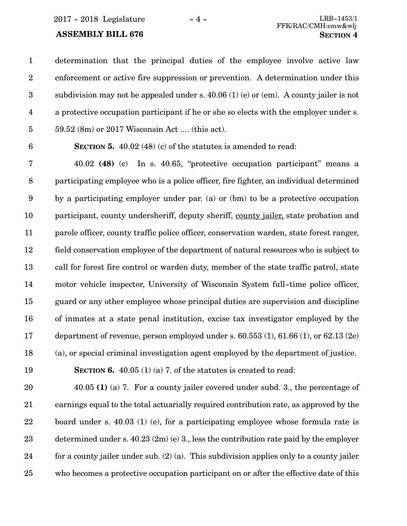determination that the principal duties of the employee involve active law enforcement or active fire suppression or prevention. A determination under this subdivision may not be appealed under s. 40.06 (1) (e) or (em). A county jailer is not a protective occupation participant if he or she so elects with the employer under s. 59.52 (8m) or 2017 Wisconsin Act .... (this act). 1 2 3 4 5

6

**SECTION 5.** 40.02 (48) (c) of the statutes is amended to read:

40.02 **(48)** (c) In s. 40.65, "protective occupation participant" means a participating employee who is a police officer, fire fighter, an individual determined by a participating employer under par. (a) or (bm) to be a protective occupation participant, county undersheriff, deputy sheriff, county jailer, state probation and parole officer, county traffic police officer, conservation warden, state forest ranger, field conservation employee of the department of natural resources who is subject to call for forest fire control or warden duty, member of the state traffic patrol, state motor vehicle inspector, University of Wisconsin System full-time police officer, guard or any other employee whose principal duties are supervision and discipline of inmates at a state penal institution, excise tax investigator employed by the department of revenue, person employed under s. 60.553 (1), 61.66 (1), or 62.13 (2e) (a), or special criminal investigation agent employed by the department of justice. 7 8 9 10 11 12 13 14 15 16 17 18

19

**SECTION 6.** 40.05 (1) (a) 7. of the statutes is created to read:

40.05 **(1)** (a) 7. For a county jailer covered under subd. 3., the percentage of earnings equal to the total actuarially required contribution rate, as approved by the board under s. 40.03 (1) (e), for a participating employee whose formula rate is determined under s.  $40.23$  (2m) (e) 3., less the contribution rate paid by the employer for a county jailer under sub. (2) (a). This subdivision applies only to a county jailer who becomes a protective occupation participant on or after the effective date of this 20 21 22 23 24 25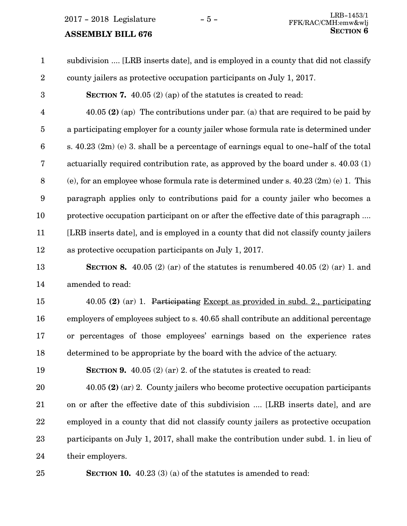### **ASSEMBLY BILL 676**

subdivision .... [LRB inserts date], and is employed in a county that did not classify county jailers as protective occupation participants on July 1, 2017. **SECTION 7.** 40.05 (2) (ap) of the statutes is created to read: 40.05 **(2)** (ap) The contributions under par. (a) that are required to be paid by a participating employer for a county jailer whose formula rate is determined under s.  $40.23$  (2m) (e) 3, shall be a percentage of earnings equal to one-half of the total actuarially required contribution rate, as approved by the board under s. 40.03 (1) (e), for an employee whose formula rate is determined under s. 40.23 (2m) (e) 1. This paragraph applies only to contributions paid for a county jailer who becomes a protective occupation participant on or after the effective date of this paragraph .... [LRB inserts date], and is employed in a county that did not classify county jailers as protective occupation participants on July 1, 2017. 1 2 3 4 5 6 7 8 9 10 11 12

**SECTION 8.**  $40.05$  (2) (ar) of the statutes is renumbered  $40.05$  (2) (ar) 1. and amended to read: 13 14

40.05 **(2)** (ar) 1. Participating Except as provided in subd. 2., participating employers of employees subject to s. 40.65 shall contribute an additional percentage or percentages of those employees' earnings based on the experience rates determined to be appropriate by the board with the advice of the actuary. 15 16 17 18

**SECTION 9.** 40.05 (2) (ar) 2. of the statutes is created to read:

40.05 **(2)** (ar) 2. County jailers who become protective occupation participants on or after the effective date of this subdivision .... [LRB inserts date], and are employed in a county that did not classify county jailers as protective occupation participants on July 1, 2017, shall make the contribution under subd. 1. in lieu of their employers. 20 21 22 23 24

25

19

**SECTION 10.** 40.23 (3) (a) of the statutes is amended to read: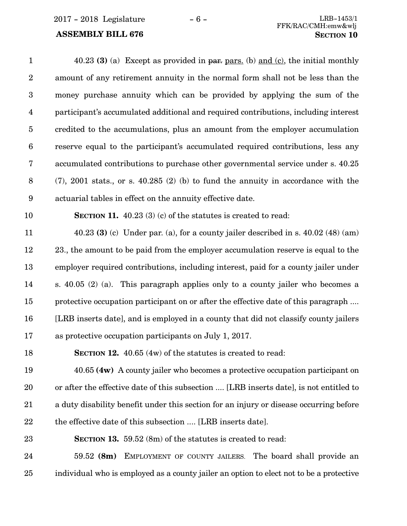40.23 **(3)** (a) Except as provided in par. pars. (b) and (c), the initial monthly amount of any retirement annuity in the normal form shall not be less than the money purchase annuity which can be provided by applying the sum of the participant's accumulated additional and required contributions, including interest credited to the accumulations, plus an amount from the employer accumulation reserve equal to the participant's accumulated required contributions, less any accumulated contributions to purchase other governmental service under s. 40.25 (7), 2001 stats., or s. 40.285 (2) (b) to fund the annuity in accordance with the actuarial tables in effect on the annuity effective date. **SECTION 11.** 40.23 (3) (c) of the statutes is created to read: 40.23 **(3)** (c) Under par. (a), for a county jailer described in s. 40.02 (48) (am) 23., the amount to be paid from the employer accumulation reserve is equal to the employer required contributions, including interest, paid for a county jailer under s. 40.05 (2) (a). This paragraph applies only to a county jailer who becomes a protective occupation participant on or after the effective date of this paragraph .... [LRB inserts date], and is employed in a county that did not classify county jailers as protective occupation participants on July 1, 2017. **SECTION 12.** 40.65 (4w) of the statutes is created to read: 1 2 3 4 5 6 7 8 9 10 11 12 13 14 15 16 17 18

40.65 **(4w)** A county jailer who becomes a protective occupation participant on or after the effective date of this subsection .... [LRB inserts date], is not entitled to a duty disability benefit under this section for an injury or disease occurring before the effective date of this subsection .... [LRB inserts date]. 19 20 21 22

**SECTION 13.** 59.52 (8m) of the statutes is created to read: 23

59.52 **(8m)** EMPLOYMENT OF COUNTY JAILERS. The board shall provide an individual who is employed as a county jailer an option to elect not to be a protective 24 25